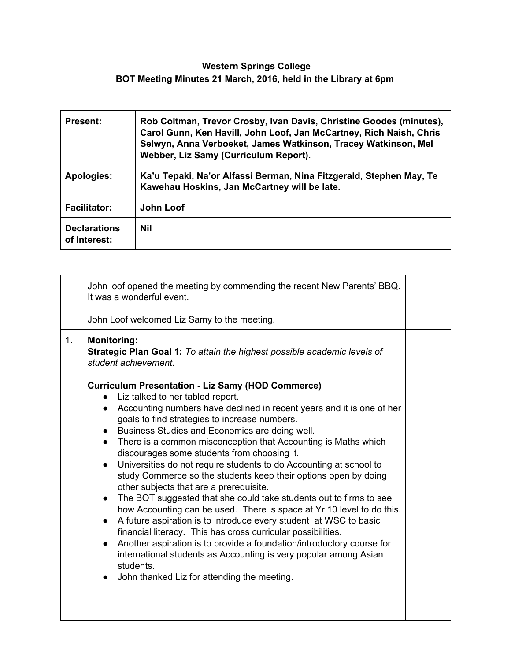## **Western Springs College BOT Meeting Minutes 21 March, 2016, held in the Library at 6pm**

| <b>Present:</b>                     | Rob Coltman, Trevor Crosby, Ivan Davis, Christine Goodes (minutes),<br>Carol Gunn, Ken Havill, John Loof, Jan McCartney, Rich Naish, Chris<br>Selwyn, Anna Verboeket, James Watkinson, Tracey Watkinson, Mel<br>Webber, Liz Samy (Curriculum Report). |
|-------------------------------------|-------------------------------------------------------------------------------------------------------------------------------------------------------------------------------------------------------------------------------------------------------|
| <b>Apologies:</b>                   | Ka'u Tepaki, Na'or Alfassi Berman, Nina Fitzgerald, Stephen May, Te<br>Kawehau Hoskins, Jan McCartney will be late.                                                                                                                                   |
| <b>Facilitator:</b>                 | John Loof                                                                                                                                                                                                                                             |
| <b>Declarations</b><br>of Interest: | Nil                                                                                                                                                                                                                                                   |

| John loof opened the meeting by commending the recent New Parents' BBQ.<br>It was a wonderful event.<br>John Loof welcomed Liz Samy to the meeting.<br><b>Monitoring:</b><br>1.<br>Strategic Plan Goal 1: To attain the highest possible academic levels of<br>student achievement.<br><b>Curriculum Presentation - Liz Samy (HOD Commerce)</b><br>• Liz talked to her tabled report.<br>Accounting numbers have declined in recent years and it is one of her<br>$\bullet$<br>goals to find strategies to increase numbers.<br>• Business Studies and Economics are doing well.<br>There is a common misconception that Accounting is Maths which<br>$\bullet$<br>discourages some students from choosing it.<br>Universities do not require students to do Accounting at school to<br>$\bullet$<br>study Commerce so the students keep their options open by doing<br>other subjects that are a prerequisite.<br>The BOT suggested that she could take students out to firms to see<br>$\bullet$<br>how Accounting can be used. There is space at Yr 10 level to do this.<br>A future aspiration is to introduce every student at WSC to basic<br>$\bullet$<br>financial literacy. This has cross curricular possibilities.<br>Another aspiration is to provide a foundation/introductory course for<br>$\bullet$<br>international students as Accounting is very popular among Asian<br>students.<br>John thanked Liz for attending the meeting.<br>$\bullet$ |  |  |
|------------------------------------------------------------------------------------------------------------------------------------------------------------------------------------------------------------------------------------------------------------------------------------------------------------------------------------------------------------------------------------------------------------------------------------------------------------------------------------------------------------------------------------------------------------------------------------------------------------------------------------------------------------------------------------------------------------------------------------------------------------------------------------------------------------------------------------------------------------------------------------------------------------------------------------------------------------------------------------------------------------------------------------------------------------------------------------------------------------------------------------------------------------------------------------------------------------------------------------------------------------------------------------------------------------------------------------------------------------------------------------------------------------------------------------------------------------------|--|--|
|                                                                                                                                                                                                                                                                                                                                                                                                                                                                                                                                                                                                                                                                                                                                                                                                                                                                                                                                                                                                                                                                                                                                                                                                                                                                                                                                                                                                                                                                  |  |  |
|                                                                                                                                                                                                                                                                                                                                                                                                                                                                                                                                                                                                                                                                                                                                                                                                                                                                                                                                                                                                                                                                                                                                                                                                                                                                                                                                                                                                                                                                  |  |  |
|                                                                                                                                                                                                                                                                                                                                                                                                                                                                                                                                                                                                                                                                                                                                                                                                                                                                                                                                                                                                                                                                                                                                                                                                                                                                                                                                                                                                                                                                  |  |  |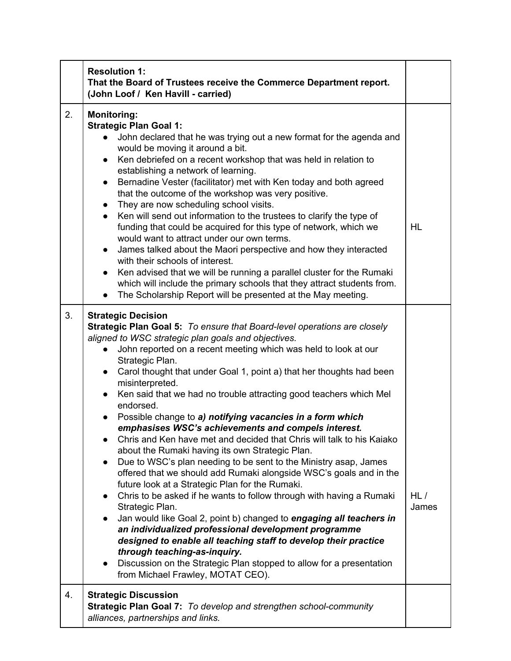|    | <b>Resolution 1:</b><br>That the Board of Trustees receive the Commerce Department report.<br>(John Loof / Ken Havill - carried)                                                                                                                                                                                                                                                                                                                                                                                                                                                                                                                                                                                                                                                                                                                                                                                                                                                                                                                                                                                                                                                                                                                                                                                                                                                                             |              |
|----|--------------------------------------------------------------------------------------------------------------------------------------------------------------------------------------------------------------------------------------------------------------------------------------------------------------------------------------------------------------------------------------------------------------------------------------------------------------------------------------------------------------------------------------------------------------------------------------------------------------------------------------------------------------------------------------------------------------------------------------------------------------------------------------------------------------------------------------------------------------------------------------------------------------------------------------------------------------------------------------------------------------------------------------------------------------------------------------------------------------------------------------------------------------------------------------------------------------------------------------------------------------------------------------------------------------------------------------------------------------------------------------------------------------|--------------|
| 2. | <b>Monitoring:</b><br><b>Strategic Plan Goal 1:</b><br>John declared that he was trying out a new format for the agenda and<br>would be moving it around a bit.<br>Ken debriefed on a recent workshop that was held in relation to<br>$\bullet$<br>establishing a network of learning.<br>Bernadine Vester (facilitator) met with Ken today and both agreed<br>$\bullet$<br>that the outcome of the workshop was very positive.<br>They are now scheduling school visits.<br>$\bullet$<br>Ken will send out information to the trustees to clarify the type of<br>$\bullet$<br>funding that could be acquired for this type of network, which we<br>would want to attract under our own terms.<br>James talked about the Maori perspective and how they interacted<br>$\bullet$<br>with their schools of interest.<br>Ken advised that we will be running a parallel cluster for the Rumaki<br>which will include the primary schools that they attract students from.<br>The Scholarship Report will be presented at the May meeting.<br>$\bullet$                                                                                                                                                                                                                                                                                                                                                          | <b>HL</b>    |
| 3. | <b>Strategic Decision</b><br><b>Strategic Plan Goal 5: To ensure that Board-level operations are closely</b><br>aligned to WSC strategic plan goals and objectives.<br>John reported on a recent meeting which was held to look at our<br>$\bullet$<br>Strategic Plan.<br>Carol thought that under Goal 1, point a) that her thoughts had been<br>$\bullet$<br>misinterpreted.<br>Ken said that we had no trouble attracting good teachers which Mel<br>$\bullet$<br>endorsed.<br>Possible change to a) notifying vacancies in a form which<br>$\bullet$<br>emphasises WSC's achievements and compels interest.<br>Chris and Ken have met and decided that Chris will talk to his Kaiako<br>about the Rumaki having its own Strategic Plan.<br>Due to WSC's plan needing to be sent to the Ministry asap, James<br>$\bullet$<br>offered that we should add Rumaki alongside WSC's goals and in the<br>future look at a Strategic Plan for the Rumaki.<br>Chris to be asked if he wants to follow through with having a Rumaki<br>Strategic Plan.<br>Jan would like Goal 2, point b) changed to engaging all teachers in<br>an individualized professional development programme<br>designed to enable all teaching staff to develop their practice<br>through teaching-as-inquiry.<br>Discussion on the Strategic Plan stopped to allow for a presentation<br>$\bullet$<br>from Michael Frawley, MOTAT CEO). | HL/<br>James |
| 4. | <b>Strategic Discussion</b><br>Strategic Plan Goal 7: To develop and strengthen school-community<br>alliances, partnerships and links.                                                                                                                                                                                                                                                                                                                                                                                                                                                                                                                                                                                                                                                                                                                                                                                                                                                                                                                                                                                                                                                                                                                                                                                                                                                                       |              |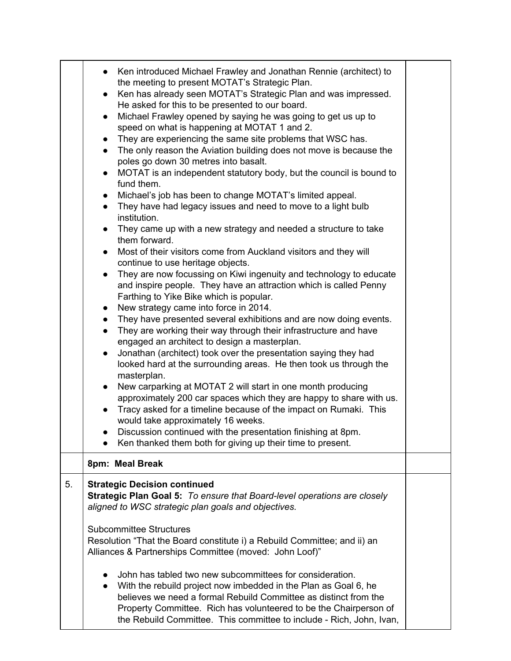|    | Ken introduced Michael Frawley and Jonathan Rennie (architect) to<br>the meeting to present MOTAT's Strategic Plan.<br>Ken has already seen MOTAT's Strategic Plan and was impressed.<br>$\bullet$<br>He asked for this to be presented to our board.<br>Michael Frawley opened by saying he was going to get us up to<br>$\bullet$<br>speed on what is happening at MOTAT 1 and 2.<br>They are experiencing the same site problems that WSC has.<br>$\bullet$<br>The only reason the Aviation building does not move is because the<br>$\bullet$<br>poles go down 30 metres into basalt.<br>MOTAT is an independent statutory body, but the council is bound to<br>$\bullet$<br>fund them.<br>Michael's job has been to change MOTAT's limited appeal.<br>They have had legacy issues and need to move to a light bulb<br>$\bullet$<br>institution.<br>They came up with a new strategy and needed a structure to take<br>$\bullet$<br>them forward.<br>Most of their visitors come from Auckland visitors and they will<br>$\bullet$<br>continue to use heritage objects.<br>They are now focussing on Kiwi ingenuity and technology to educate<br>$\bullet$<br>and inspire people. They have an attraction which is called Penny<br>Farthing to Yike Bike which is popular.<br>New strategy came into force in 2014.<br>$\bullet$<br>They have presented several exhibitions and are now doing events.<br>$\bullet$<br>They are working their way through their infrastructure and have<br>$\bullet$<br>engaged an architect to design a masterplan.<br>Jonathan (architect) took over the presentation saying they had<br>$\bullet$<br>looked hard at the surrounding areas. He then took us through the<br>masterplan.<br>New carparking at MOTAT 2 will start in one month producing<br>$\bullet$<br>approximately 200 car spaces which they are happy to share with us.<br>Tracy asked for a timeline because of the impact on Rumaki. This<br>$\bullet$<br>would take approximately 16 weeks.<br>Discussion continued with the presentation finishing at 8pm. |  |
|----|-----------------------------------------------------------------------------------------------------------------------------------------------------------------------------------------------------------------------------------------------------------------------------------------------------------------------------------------------------------------------------------------------------------------------------------------------------------------------------------------------------------------------------------------------------------------------------------------------------------------------------------------------------------------------------------------------------------------------------------------------------------------------------------------------------------------------------------------------------------------------------------------------------------------------------------------------------------------------------------------------------------------------------------------------------------------------------------------------------------------------------------------------------------------------------------------------------------------------------------------------------------------------------------------------------------------------------------------------------------------------------------------------------------------------------------------------------------------------------------------------------------------------------------------------------------------------------------------------------------------------------------------------------------------------------------------------------------------------------------------------------------------------------------------------------------------------------------------------------------------------------------------------------------------------------------------------------------------------------------------------------------------------------------------------------------------------|--|
|    | Ken thanked them both for giving up their time to present.                                                                                                                                                                                                                                                                                                                                                                                                                                                                                                                                                                                                                                                                                                                                                                                                                                                                                                                                                                                                                                                                                                                                                                                                                                                                                                                                                                                                                                                                                                                                                                                                                                                                                                                                                                                                                                                                                                                                                                                                            |  |
|    | 8pm: Meal Break                                                                                                                                                                                                                                                                                                                                                                                                                                                                                                                                                                                                                                                                                                                                                                                                                                                                                                                                                                                                                                                                                                                                                                                                                                                                                                                                                                                                                                                                                                                                                                                                                                                                                                                                                                                                                                                                                                                                                                                                                                                       |  |
| 5. | <b>Strategic Decision continued</b><br>Strategic Plan Goal 5: To ensure that Board-level operations are closely<br>aligned to WSC strategic plan goals and objectives.<br><b>Subcommittee Structures</b><br>Resolution "That the Board constitute i) a Rebuild Committee; and ii) an<br>Alliances & Partnerships Committee (moved: John Loof)"<br>John has tabled two new subcommittees for consideration.<br>With the rebuild project now imbedded in the Plan as Goal 6, he<br>$\bullet$<br>believes we need a formal Rebuild Committee as distinct from the<br>Property Committee. Rich has volunteered to be the Chairperson of<br>the Rebuild Committee. This committee to include - Rich, John, Ivan,                                                                                                                                                                                                                                                                                                                                                                                                                                                                                                                                                                                                                                                                                                                                                                                                                                                                                                                                                                                                                                                                                                                                                                                                                                                                                                                                                           |  |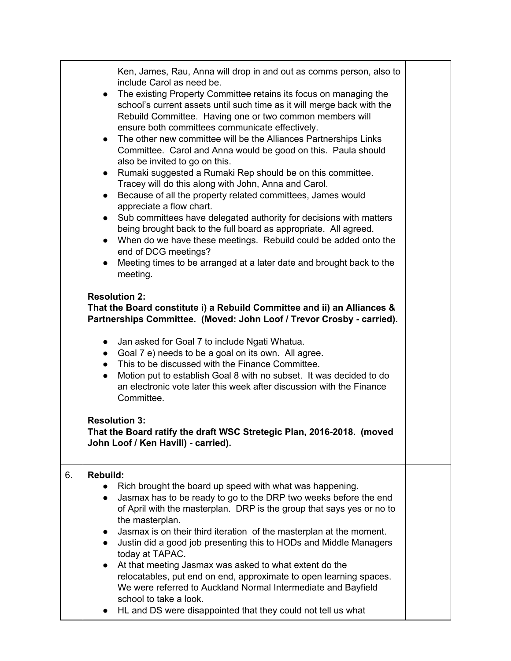|    | Ken, James, Rau, Anna will drop in and out as comms person, also to<br>include Carol as need be.<br>• The existing Property Committee retains its focus on managing the<br>school's current assets until such time as it will merge back with the<br>Rebuild Committee. Having one or two common members will<br>ensure both committees communicate effectively.<br>• The other new committee will be the Alliances Partnerships Links<br>Committee. Carol and Anna would be good on this. Paula should<br>also be invited to go on this.<br>Rumaki suggested a Rumaki Rep should be on this committee.<br>$\bullet$<br>Tracey will do this along with John, Anna and Carol.<br>Because of all the property related committees, James would<br>$\bullet$<br>appreciate a flow chart.<br>Sub committees have delegated authority for decisions with matters<br>$\bullet$<br>being brought back to the full board as appropriate. All agreed.<br>When do we have these meetings. Rebuild could be added onto the<br>$\bullet$<br>end of DCG meetings?<br>Meeting times to be arranged at a later date and brought back to the<br>$\bullet$<br>meeting.<br><b>Resolution 2:</b><br>That the Board constitute i) a Rebuild Committee and ii) an Alliances &<br>Partnerships Committee. (Moved: John Loof / Trevor Crosby - carried).<br>Jan asked for Goal 7 to include Ngati Whatua.<br>$\bullet$<br>Goal 7 e) needs to be a goal on its own. All agree.<br>$\bullet$<br>• This to be discussed with the Finance Committee.<br>Motion put to establish Goal 8 with no subset. It was decided to do<br>$\bullet$<br>an electronic vote later this week after discussion with the Finance<br>Committee.<br><b>Resolution 3:</b><br>That the Board ratify the draft WSC Stretegic Plan, 2016-2018. (moved<br>John Loof / Ken Havill) - carried). |  |
|----|--------------------------------------------------------------------------------------------------------------------------------------------------------------------------------------------------------------------------------------------------------------------------------------------------------------------------------------------------------------------------------------------------------------------------------------------------------------------------------------------------------------------------------------------------------------------------------------------------------------------------------------------------------------------------------------------------------------------------------------------------------------------------------------------------------------------------------------------------------------------------------------------------------------------------------------------------------------------------------------------------------------------------------------------------------------------------------------------------------------------------------------------------------------------------------------------------------------------------------------------------------------------------------------------------------------------------------------------------------------------------------------------------------------------------------------------------------------------------------------------------------------------------------------------------------------------------------------------------------------------------------------------------------------------------------------------------------------------------------------------------------------------------------------------------------------------------------------------|--|
|    |                                                                                                                                                                                                                                                                                                                                                                                                                                                                                                                                                                                                                                                                                                                                                                                                                                                                                                                                                                                                                                                                                                                                                                                                                                                                                                                                                                                                                                                                                                                                                                                                                                                                                                                                                                                                                                            |  |
| 6. | <b>Rebuild:</b><br>Rich brought the board up speed with what was happening.<br>Jasmax has to be ready to go to the DRP two weeks before the end<br>$\bullet$<br>of April with the masterplan. DRP is the group that says yes or no to<br>the masterplan.<br>Jasmax is on their third iteration of the masterplan at the moment.<br>Justin did a good job presenting this to HODs and Middle Managers<br>$\bullet$<br>today at TAPAC.<br>At that meeting Jasmax was asked to what extent do the<br>relocatables, put end on end, approximate to open learning spaces.<br>We were referred to Auckland Normal Intermediate and Bayfield<br>school to take a look.<br>HL and DS were disappointed that they could not tell us what                                                                                                                                                                                                                                                                                                                                                                                                                                                                                                                                                                                                                                                                                                                                                                                                                                                                                                                                                                                                                                                                                                            |  |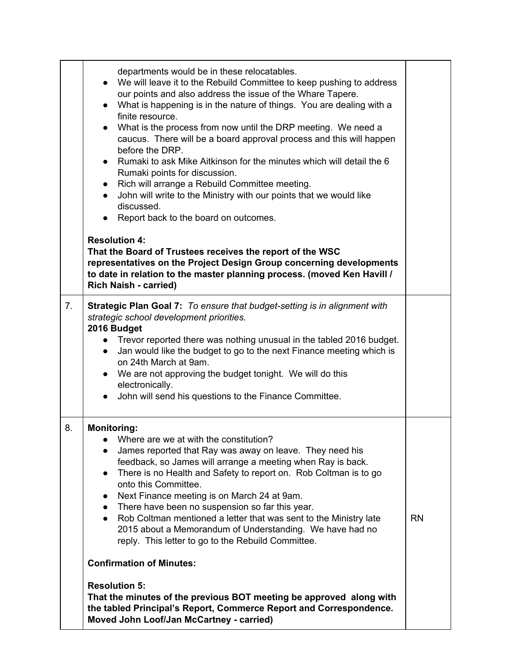|    | departments would be in these relocatables.<br>• We will leave it to the Rebuild Committee to keep pushing to address<br>our points and also address the issue of the Whare Tapere.<br>• What is happening is in the nature of things. You are dealing with a<br>finite resource.<br>What is the process from now until the DRP meeting. We need a<br>$\bullet$<br>caucus. There will be a board approval process and this will happen<br>before the DRP.<br>Rumaki to ask Mike Aitkinson for the minutes which will detail the 6<br>$\bullet$<br>Rumaki points for discussion.<br>Rich will arrange a Rebuild Committee meeting.<br>John will write to the Ministry with our points that we would like<br>$\bullet$<br>discussed.<br>Report back to the board on outcomes.<br>$\bullet$<br><b>Resolution 4:</b><br>That the Board of Trustees receives the report of the WSC<br>representatives on the Project Design Group concerning developments<br>to date in relation to the master planning process. (moved Ken Havill / |           |
|----|---------------------------------------------------------------------------------------------------------------------------------------------------------------------------------------------------------------------------------------------------------------------------------------------------------------------------------------------------------------------------------------------------------------------------------------------------------------------------------------------------------------------------------------------------------------------------------------------------------------------------------------------------------------------------------------------------------------------------------------------------------------------------------------------------------------------------------------------------------------------------------------------------------------------------------------------------------------------------------------------------------------------------------|-----------|
|    | <b>Rich Naish - carried)</b>                                                                                                                                                                                                                                                                                                                                                                                                                                                                                                                                                                                                                                                                                                                                                                                                                                                                                                                                                                                                    |           |
| 7. | <b>Strategic Plan Goal 7:</b> To ensure that budget-setting is in alignment with<br>strategic school development priorities.<br>2016 Budget<br>• Trevor reported there was nothing unusual in the tabled 2016 budget.<br>Jan would like the budget to go to the next Finance meeting which is<br>$\bullet$<br>on 24th March at 9am.<br>• We are not approving the budget tonight. We will do this<br>electronically.<br>John will send his questions to the Finance Committee.<br>$\bullet$                                                                                                                                                                                                                                                                                                                                                                                                                                                                                                                                     |           |
| 8. | <b>Monitoring:</b><br>Where are we at with the constitution?<br>James reported that Ray was away on leave. They need his<br>feedback, so James will arrange a meeting when Ray is back.<br>There is no Health and Safety to report on. Rob Coltman is to go<br>$\bullet$<br>onto this Committee.<br>Next Finance meeting is on March 24 at 9am.<br>$\bullet$<br>There have been no suspension so far this year.<br>$\bullet$<br>Rob Coltman mentioned a letter that was sent to the Ministry late<br>$\bullet$<br>2015 about a Memorandum of Understanding. We have had no<br>reply. This letter to go to the Rebuild Committee.                                                                                                                                                                                                                                                                                                                                                                                                | <b>RN</b> |
|    | <b>Confirmation of Minutes:</b>                                                                                                                                                                                                                                                                                                                                                                                                                                                                                                                                                                                                                                                                                                                                                                                                                                                                                                                                                                                                 |           |
|    | <b>Resolution 5:</b><br>That the minutes of the previous BOT meeting be approved along with<br>the tabled Principal's Report, Commerce Report and Correspondence.<br>Moved John Loof/Jan McCartney - carried)                                                                                                                                                                                                                                                                                                                                                                                                                                                                                                                                                                                                                                                                                                                                                                                                                   |           |